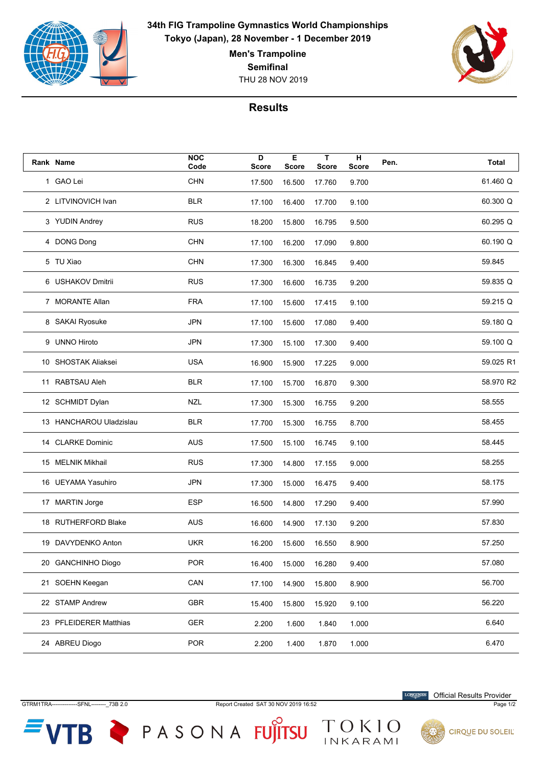

**34th FIG Trampoline Gymnastics World Championships Tokyo (Japan), 28 November - 1 December 2019**

> **Men's Trampoline Semifinal**

> > THU 28 NOV 2019



## **Results**

| Rank Name               | <b>NOC</b><br>Code | D<br><b>Score</b> | Е<br><b>Score</b> | т<br><b>Score</b> | н<br><b>Score</b>      | Pen. | <b>Total</b> |
|-------------------------|--------------------|-------------------|-------------------|-------------------|------------------------|------|--------------|
| 1 GAO Lei               | <b>CHN</b>         | 17.500            | 16.500            | 17.760            | 9.700                  |      | 61.460 Q     |
| 2 LITVINOVICH Ivan      | <b>BLR</b>         | 17.100            | 16.400            | 17.700            | 9.100                  |      | 60.300 Q     |
| 3 YUDIN Andrey          | <b>RUS</b>         | 18.200            | 15.800            | 16.795            | 9.500                  |      | 60.295 Q     |
| 4 DONG Dong             | <b>CHN</b>         | 17.100            | 16.200            | 17.090            | 9.800                  |      | 60.190 Q     |
| 5 TU Xiao               | <b>CHN</b>         | 17.300            | 16.300            | 16.845            | 9.400                  |      | 59.845       |
| 6 USHAKOV Dmitrii       | <b>RUS</b>         | 17.300            | 16.600            | 16.735            | 9.200                  |      | 59.835 Q     |
| 7 MORANTE Allan         | <b>FRA</b>         | 17.100            | 15.600            | 17.415            | 9.100                  |      | 59.215 Q     |
| 8 SAKAI Ryosuke         | JPN                | 17.100            | 15.600            | 17.080            | 9.400                  |      | 59.180 Q     |
| 9 UNNO Hiroto           | <b>JPN</b>         | 17.300            | 15.100            | 17.300            | 9.400                  |      | 59.100 Q     |
| 10 SHOSTAK Aliaksei     | <b>USA</b>         | 16.900            | 15.900            | 17.225            | 9.000                  |      | 59.025 R1    |
| 11 RABTSAU Aleh         | <b>BLR</b>         | 17.100            | 15.700            | 16.870            | 9.300                  |      | 58.970 R2    |
| 12 SCHMIDT Dylan        | <b>NZL</b>         | 17.300            | 15.300            | 16.755            | 9.200                  |      | 58.555       |
| 13 HANCHAROU Uladzislau | <b>BLR</b>         | 17.700            | 15.300            | 16.755            | 8.700                  |      | 58.455       |
| 14 CLARKE Dominic       | <b>AUS</b>         | 17.500            | 15.100            | 16.745            | 9.100                  |      | 58.445       |
| 15 MELNIK Mikhail       | <b>RUS</b>         | 17.300            | 14.800            | 17.155            | 9.000                  |      | 58.255       |
| 16 UEYAMA Yasuhiro      | <b>JPN</b>         | 17.300            | 15.000            | 16.475            | 9.400                  |      | 58.175       |
| 17 MARTIN Jorge         | <b>ESP</b>         | 16.500            | 14.800            | 17.290            | 9.400                  |      | 57.990       |
| 18 RUTHERFORD Blake     | AUS                | 16.600            | 14.900            | 17.130            | 9.200                  |      | 57.830       |
| 19 DAVYDENKO Anton      | <b>UKR</b>         | 16.200            | 15.600            | 16.550            | 8.900                  |      | 57.250       |
| 20 GANCHINHO Diogo      | POR                |                   |                   |                   | 9.400                  |      | 57.080       |
| 21 SOEHN Keegan         | CAN                | 17.100            | 14.900            | 15.800            | 8.900                  |      | 56.700       |
| 22 STAMP Andrew         | GBR                | 15.400            | 15.800            | 15.920            | 9.100                  |      | 56.220       |
| 23 PFLEIDERER Matthias  | GER                | 2.200             | 1.600             | 1.840             | 1.000                  |      | 6.640        |
| 24 ABREU Diogo          | <b>POR</b>         | 2.200             | 1.400             | 1.870             | 1.000                  |      | 6.470        |
|                         |                    |                   |                   |                   | 16.400  15.000  16.280 |      |              |

**VTB** 

GTRM1TRA--------------SFNL--------\_73B 2.0 Report Created SAT 30 NOV 2019 16:52 Page 1/2

**LONGINES** Official Results Provider